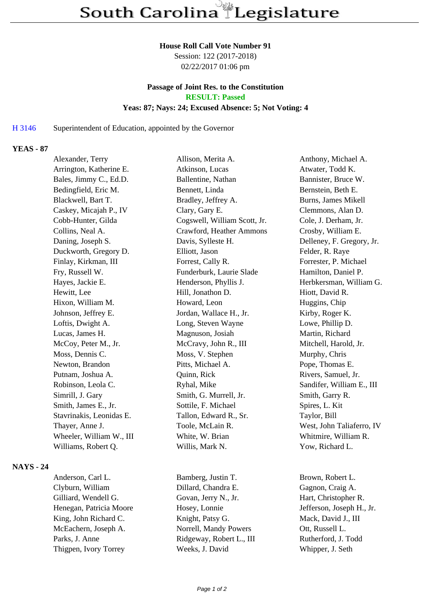#### **House Roll Call Vote Number 91**

Session: 122 (2017-2018) 02/22/2017 01:06 pm

## **Passage of Joint Res. to the Constitution RESULT: Passed Yeas: 87; Nays: 24; Excused Absence: 5; Not Voting: 4**

### H 3146 Superintendent of Education, appointed by the Governor

### **YEAS - 87**

| Alexander, Terry         | Allison, Merita A.           | Anthony, Michael A.        |
|--------------------------|------------------------------|----------------------------|
| Arrington, Katherine E.  | Atkinson, Lucas              | Atwater, Todd K.           |
| Bales, Jimmy C., Ed.D.   | Ballentine, Nathan           | Bannister, Bruce W.        |
| Bedingfield, Eric M.     | Bennett, Linda               | Bernstein, Beth E.         |
| Blackwell, Bart T.       | Bradley, Jeffrey A.          | <b>Burns, James Mikell</b> |
| Caskey, Micajah P., IV   | Clary, Gary E.               | Clemmons, Alan D.          |
| Cobb-Hunter, Gilda       | Cogswell, William Scott, Jr. | Cole, J. Derham, Jr.       |
| Collins, Neal A.         | Crawford, Heather Ammons     | Crosby, William E.         |
| Daning, Joseph S.        | Davis, Sylleste H.           | Delleney, F. Gregory, Jr.  |
| Duckworth, Gregory D.    | Elliott, Jason               | Felder, R. Raye            |
| Finlay, Kirkman, III     | Forrest, Cally R.            | Forrester, P. Michael      |
| Fry, Russell W.          | Funderburk, Laurie Slade     | Hamilton, Daniel P.        |
| Hayes, Jackie E.         | Henderson, Phyllis J.        | Herbkersman, William G.    |
| Hewitt, Lee              | Hill, Jonathon D.            | Hiott, David R.            |
| Hixon, William M.        | Howard, Leon                 | Huggins, Chip              |
| Johnson, Jeffrey E.      | Jordan, Wallace H., Jr.      | Kirby, Roger K.            |
| Loftis, Dwight A.        | Long, Steven Wayne           | Lowe, Phillip D.           |
| Lucas, James H.          | Magnuson, Josiah             | Martin, Richard            |
| McCoy, Peter M., Jr.     | McCravy, John R., III        | Mitchell, Harold, Jr.      |
| Moss, Dennis C.          | Moss, V. Stephen             | Murphy, Chris              |
| Newton, Brandon          | Pitts, Michael A.            | Pope, Thomas E.            |
| Putnam, Joshua A.        | Quinn, Rick                  | Rivers, Samuel, Jr.        |
| Robinson, Leola C.       | Ryhal, Mike                  | Sandifer, William E., III  |
| Simrill, J. Gary         | Smith, G. Murrell, Jr.       | Smith, Garry R.            |
| Smith, James E., Jr.     | Sottile, F. Michael          | Spires, L. Kit             |
| Stavrinakis, Leonidas E. | Tallon, Edward R., Sr.       | Taylor, Bill               |
| Thayer, Anne J.          | Toole, McLain R.             | West, John Taliaferro, IV  |
| Wheeler, William W., III | White, W. Brian              | Whitmire, William R.       |
| Williams, Robert Q.      | Willis, Mark N.              | Yow, Richard L.            |
|                          |                              |                            |

# **NAYS - 24**

Anderson, Carl L. Bamberg, Justin T. Brown, Robert L. Clyburn, William Dillard, Chandra E. Gagnon, Craig A. Gilliard, Wendell G. Govan, Jerry N., Jr. Hart, Christopher R. Henegan, Patricia Moore Hosey, Lonnie Jefferson, Joseph H., Jr. King, John Richard C. Knight, Patsy G. Mack, David J., III McEachern, Joseph A. Norrell, Mandy Powers Ott, Russell L. Parks, J. Anne Ridgeway, Robert L., III Rutherford, J. Todd Thigpen, Ivory Torrey Weeks, J. David Whipper, J. Seth